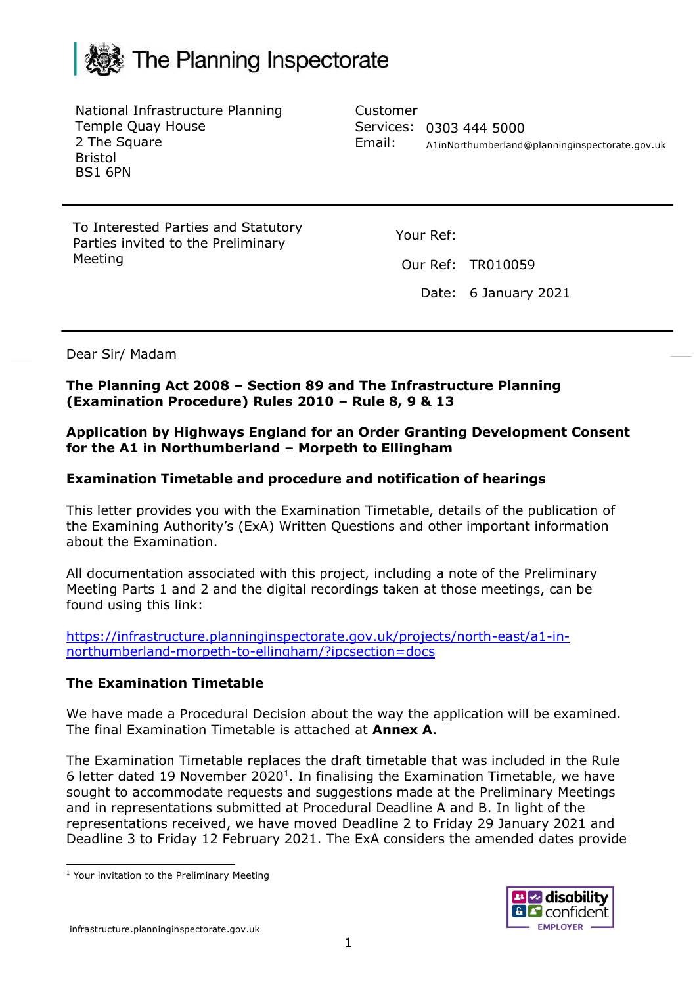

National Infrastructure Planning Temple Quay House 2 The Square Bristol BS1 6PN

Customer Services: 0303 444 5000 Email: [A1inNorthumberland@planninginspectorate.gov.uk](mailto:A1inNorthumberland@planninginspectorate.gov.uk)

To Interested Parties and Statutory Parties invited to the Preliminary Meeting

Your Ref:

Our Ref: TR010059

Date: 6 January 2021

Dear Sir/ Madam

**The Planning Act 2008 – Section 89 and The Infrastructure Planning (Examination Procedure) Rules 2010 – Rule 8, 9 & 13**

**Application by Highways England for an Order Granting Development Consent for the A1 in Northumberland – Morpeth to Ellingham**

#### **Examination Timetable and procedure and notification of hearings**

This letter provides you with the Examination Timetable, details of the publication of the Examining Authority's (ExA) Written Questions and other important information about the Examination.

All documentation associated with this project, including a note of the Preliminary Meeting Parts 1 and 2 and the digital recordings taken at those meetings, can be found using this link:

[https://infrastructure.planninginspectorate.gov.uk/projects/north-east/a1-in](https://infrastructure.planninginspectorate.gov.uk/projects/north-east/a1-in-northumberland-morpeth-to-ellingham/?ipcsection=docs)[northumberland-morpeth-to-ellingham/?ipcsection=docs](https://infrastructure.planninginspectorate.gov.uk/projects/north-east/a1-in-northumberland-morpeth-to-ellingham/?ipcsection=docs)

#### **The Examination Timetable**

We have made a Procedural Decision about the way the application will be examined. The final Examination Timetable is attached at **Annex A**.

The Examination Timetable replaces the draft timetable that was included in the Rule 6 letter dated 19 November 2020<sup>1</sup>. In finalising the Examination Timetable, we have sought to accommodate requests and suggestions made at the Preliminary Meetings and in representations submitted at Procedural Deadline A and B. In light of the representations received, we have moved Deadline 2 to Friday 29 January 2021 and Deadline 3 to Friday 12 February 2021. The ExA considers the amended dates provide



<sup>&</sup>lt;sup>1</sup> Your invitation to the Preliminary Meeting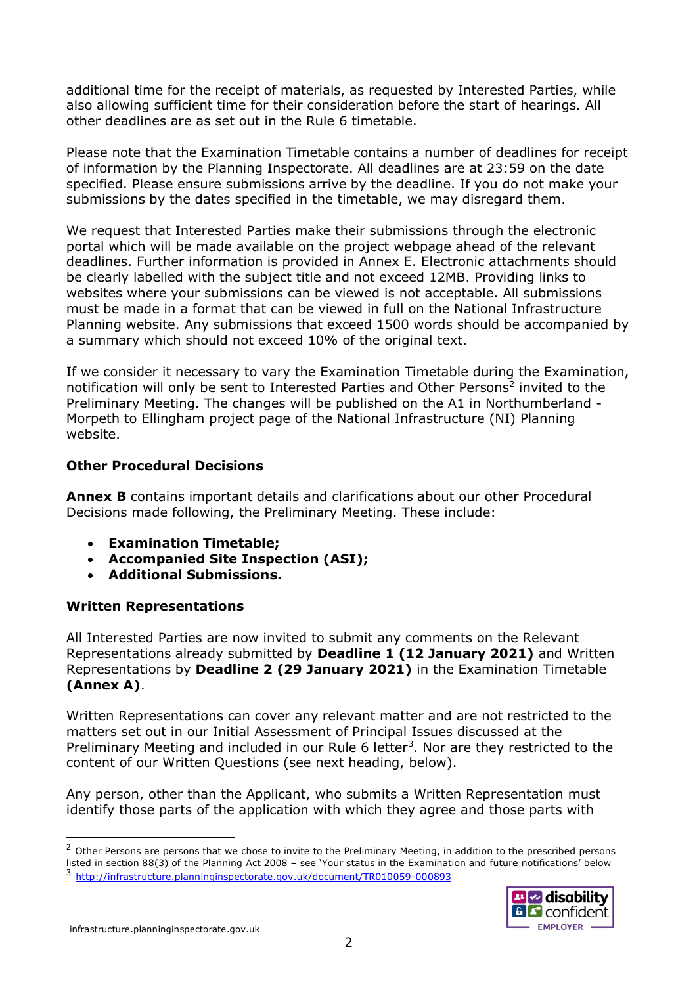additional time for the receipt of materials, as requested by Interested Parties, while also allowing sufficient time for their consideration before the start of hearings. All other deadlines are as set out in the Rule 6 timetable.

Please note that the Examination Timetable contains a number of deadlines for receipt of information by the Planning Inspectorate. All deadlines are at 23:59 on the date specified. Please ensure submissions arrive by the deadline. If you do not make your submissions by the dates specified in the timetable, we may disregard them.

We request that Interested Parties make their submissions through the electronic portal which will be made available on the project webpage ahead of the relevant deadlines. Further information is provided in Annex E. Electronic attachments should be clearly labelled with the subject title and not exceed 12MB. Providing links to websites where your submissions can be viewed is not acceptable. All submissions must be made in a format that can be viewed in full on the National Infrastructure Planning website. Any submissions that exceed 1500 words should be accompanied by a summary which should not exceed 10% of the original text.

If we consider it necessary to vary the Examination Timetable during the Examination, notification will only be sent to Interested Parties and Other Persons<sup>2</sup> invited to the Preliminary Meeting. The changes will be published on the A1 in Northumberland - Morpeth to Ellingham project page of the National Infrastructure (NI) Planning website.

### **Other Procedural Decisions**

**Annex B** contains important details and clarifications about our other Procedural Decisions made following, the Preliminary Meeting. These include:

- **Examination Timetable;**
- **Accompanied Site Inspection (ASI);**
- **Additional Submissions.**

# **Written Representations**

All Interested Parties are now invited to submit any comments on the Relevant Representations already submitted by **Deadline 1 (12 January 2021)** and Written Representations by **Deadline 2 (29 January 2021)** in the Examination Timetable **(Annex A)**.

Written Representations can cover any relevant matter and are not restricted to the matters set out in our Initial Assessment of Principal Issues discussed at the Preliminary Meeting and included in our Rule 6 letter<sup>3</sup>. Nor are they restricted to the content of our Written Questions (see next heading, below).

Any person, other than the Applicant, who submits a Written Representation must identify those parts of the application with which they agree and those parts with

<sup>&</sup>lt;sup>2</sup> Other Persons are persons that we chose to invite to the Preliminary Meeting, in addition to the prescribed persons listed in section 88(3) of the Planning Act 2008 – see 'Your status in the Examination and future notifications' below 3 <http://infrastructure.planninginspectorate.gov.uk/document/TR010059-000893>

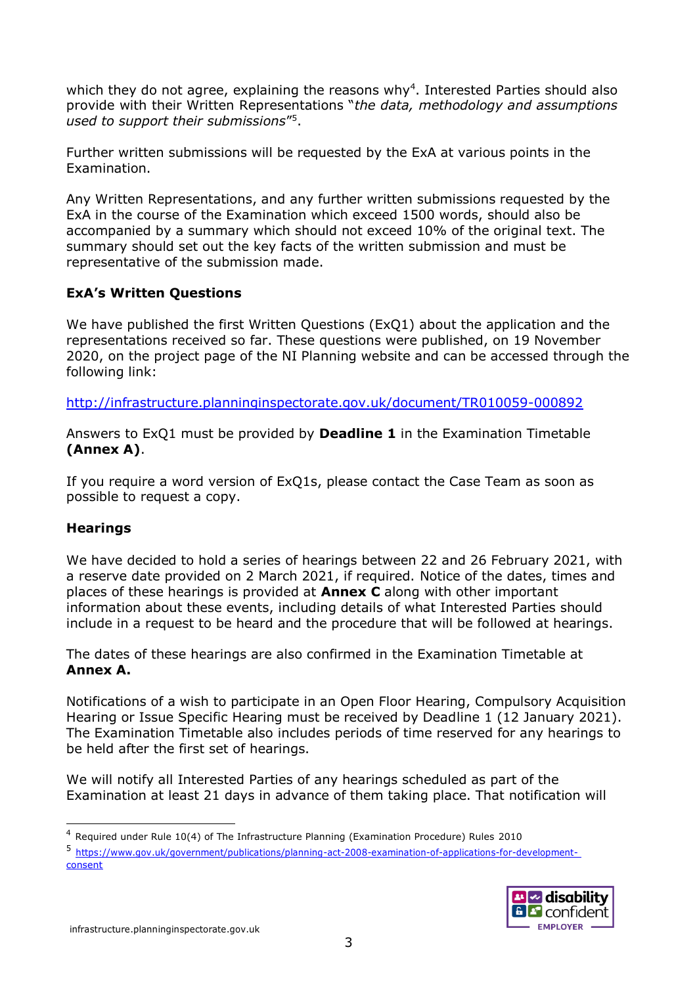which they do not agree, explaining the reasons why<sup>4</sup>. Interested Parties should also provide with their Written Representations "*the data, methodology and assumptions used to support their submissions*" 5 .

Further written submissions will be requested by the ExA at various points in the Examination.

Any Written Representations, and any further written submissions requested by the ExA in the course of the Examination which exceed 1500 words, should also be accompanied by a summary which should not exceed 10% of the original text. The summary should set out the key facts of the written submission and must be representative of the submission made.

### **ExA's Written Questions**

We have published the first Written Questions (ExQ1) about the application and the representations received so far. These questions were published, on 19 November 2020, on the project page of the NI Planning website and can be accessed through the following link:

<http://infrastructure.planninginspectorate.gov.uk/document/TR010059-000892>

Answers to ExQ1 must be provided by **Deadline 1** in the Examination Timetable **(Annex A)**.

If you require a word version of ExQ1s, please contact the Case Team as soon as possible to request a copy.

# **Hearings**

We have decided to hold a series of hearings between 22 and 26 February 2021, with a reserve date provided on 2 March 2021, if required. Notice of the dates, times and places of these hearings is provided at **Annex C** along with other important information about these events, including details of what Interested Parties should include in a request to be heard and the procedure that will be followed at hearings.

The dates of these hearings are also confirmed in the Examination Timetable at **Annex A.**

Notifications of a wish to participate in an Open Floor Hearing, Compulsory Acquisition Hearing or Issue Specific Hearing must be received by Deadline 1 (12 January 2021). The Examination Timetable also includes periods of time reserved for any hearings to be held after the first set of hearings.

We will notify all Interested Parties of any hearings scheduled as part of the Examination at least 21 days in advance of them taking place. That notification will

<sup>5</sup> [https://www.gov.uk/government/publications/planning-act-2008-examination-of-applications-for-development](https://www.gov.uk/government/publications/planning-act-2008-examination-of-applications-for-development-consent)[consent](https://www.gov.uk/government/publications/planning-act-2008-examination-of-applications-for-development-consent)



<sup>4</sup> Required under Rule 10(4) of The Infrastructure Planning (Examination Procedure) Rules 2010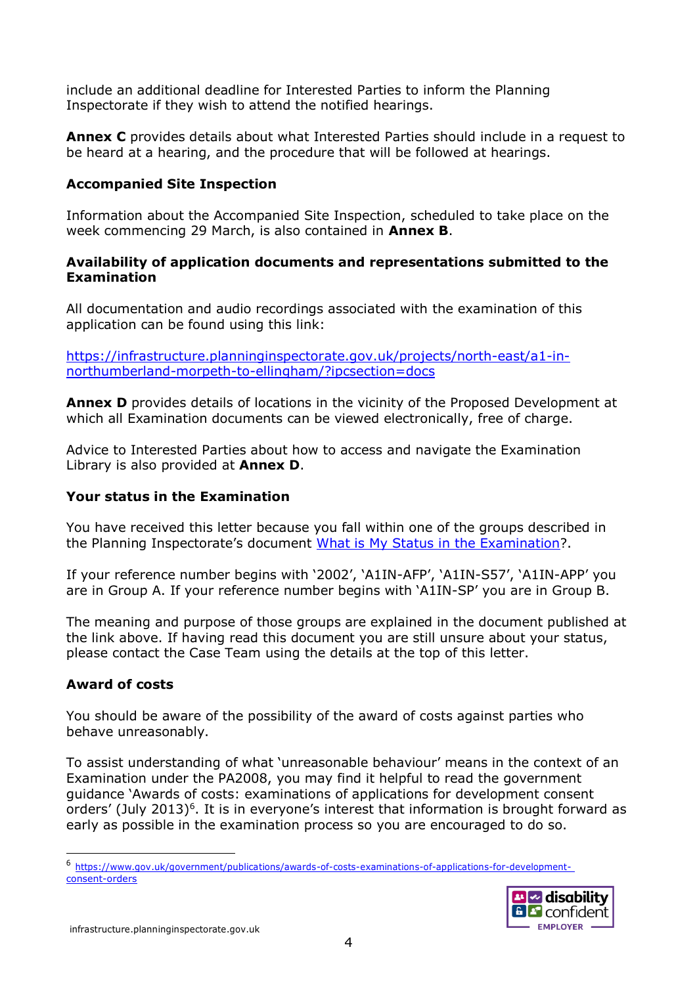include an additional deadline for Interested Parties to inform the Planning Inspectorate if they wish to attend the notified hearings.

**Annex C** provides details about what Interested Parties should include in a request to be heard at a hearing, and the procedure that will be followed at hearings.

### **Accompanied Site Inspection**

Information about the Accompanied Site Inspection, scheduled to take place on the week commencing 29 March, is also contained in **Annex B**.

### **Availability of application documents and representations submitted to the Examination**

All documentation and audio recordings associated with the examination of this application can be found using this link:

[https://infrastructure.planninginspectorate.gov.uk/projects/north-east/a1-in](https://infrastructure.planninginspectorate.gov.uk/projects/north-east/a1-in-northumberland-morpeth-to-ellingham/?ipcsection=docs)[northumberland-morpeth-to-ellingham/?ipcsection=docs](https://infrastructure.planninginspectorate.gov.uk/projects/north-east/a1-in-northumberland-morpeth-to-ellingham/?ipcsection=docs)

**Annex D** provides details of locations in the vicinity of the Proposed Development at which all Examination documents can be viewed electronically, free of charge.

Advice to Interested Parties about how to access and navigate the Examination Library is also provided at **Annex D**.

#### **Your status in the Examination**

You have received this letter because you fall within one of the groups described in the Planning Inspectorate's document [What is My Status in the Examination?](https://infrastructure.planninginspectorate.gov.uk/wp-content/uploads/2019/02/Status-faq.pdf).

If your reference number begins with '2002', 'A1IN-AFP', 'A1IN-S57', 'A1IN-APP' you are in Group A. If your reference number begins with 'A1IN-SP' you are in Group B.

The meaning and purpose of those groups are explained in the document published at the link above. If having read this document you are still unsure about your status, please contact the Case Team using the details at the top of this letter.

# **Award of costs**

You should be aware of the possibility of the award of costs against parties who behave unreasonably.

To assist understanding of what 'unreasonable behaviour' means in the context of an Examination under the PA2008, you may find it helpful to read the government guidance 'Awards of costs: examinations of applications for development consent orders' (July 2013)<sup>6</sup>. It is in everyone's interest that information is brought forward as early as possible in the examination process so you are encouraged to do so.

<sup>6</sup> [https://www.gov.uk/government/publications/awards-of-costs-examinations-of-applications-for-development](https://www.gov.uk/government/publications/awards-of-costs-examinations-of-applications-for-development-consent-orders)[consent-orders](https://www.gov.uk/government/publications/awards-of-costs-examinations-of-applications-for-development-consent-orders)

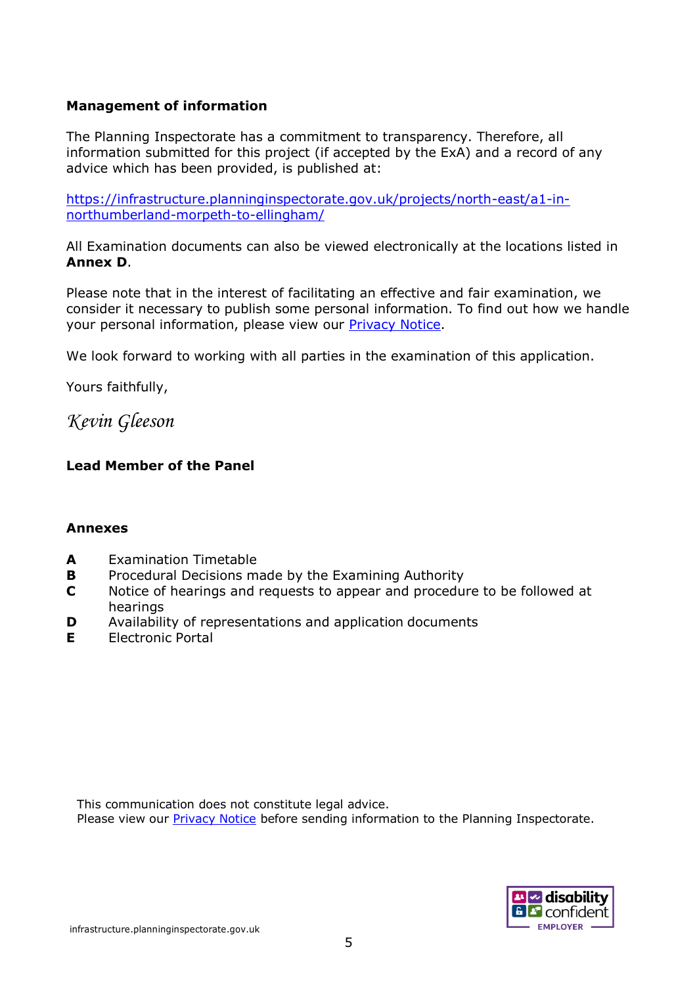### **Management of information**

The Planning Inspectorate has a commitment to transparency. Therefore, all information submitted for this project (if accepted by the ExA) and a record of any advice which has been provided, is published at:

[https://infrastructure.planninginspectorate.gov.uk/projects/north-east/a1-in](https://infrastructure.planninginspectorate.gov.uk/projects/north-east/a1-in-northumberland-morpeth-to-ellingham/)[northumberland-morpeth-to-ellingham/](https://infrastructure.planninginspectorate.gov.uk/projects/north-east/a1-in-northumberland-morpeth-to-ellingham/)

All Examination documents can also be viewed electronically at the locations listed in **Annex D**.

Please note that in the interest of facilitating an effective and fair examination, we consider it necessary to publish some personal information. To find out how we handle your personal information, please view our [Privacy Notice.](https://infrastructure.planninginspectorate.gov.uk/help/privacy-notice/)

We look forward to working with all parties in the examination of this application.

Yours faithfully,

*Kevin Gleeson*

# **Lead Member of the Panel**

#### **Annexes**

- **A** Examination Timetable
- **B** Procedural Decisions made by the Examining Authority
- **C** Notice of hearings and requests to appear and procedure to be followed at hearings
- **D** Availability of representations and application documents
- **E** Electronic Portal

This communication does not constitute legal advice. Please view our **Privacy Notice** before sending information to the Planning Inspectorate.

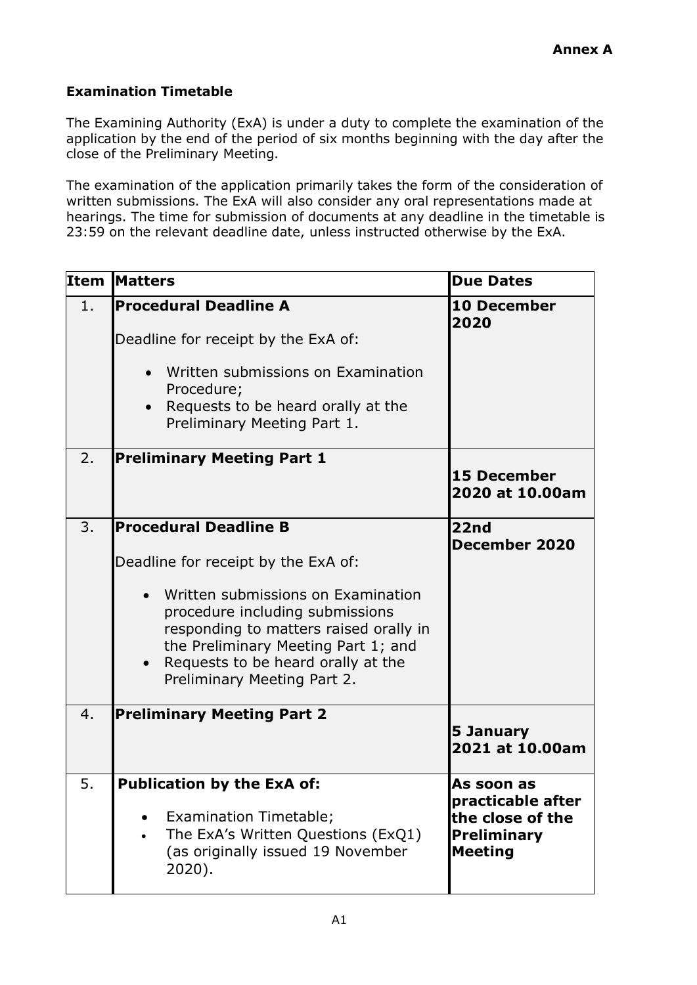# **Examination Timetable**

The Examining Authority (ExA) is under a duty to complete the examination of the application by the end of the period of six months beginning with the day after the close of the Preliminary Meeting.

The examination of the application primarily takes the form of the consideration of written submissions. The ExA will also consider any oral representations made at hearings. The time for submission of documents at any deadline in the timetable is 23:59 on the relevant deadline date, unless instructed otherwise by the ExA.

|                | <b>Item Matters</b>                                                                                                                                                                                                                                                                                             | <b>Due Dates</b>                                                                     |
|----------------|-----------------------------------------------------------------------------------------------------------------------------------------------------------------------------------------------------------------------------------------------------------------------------------------------------------------|--------------------------------------------------------------------------------------|
| 1 <sub>1</sub> | <b>Procedural Deadline A</b><br>Deadline for receipt by the ExA of:<br>Written submissions on Examination<br>Procedure;<br>Requests to be heard orally at the<br>$\bullet$<br>Preliminary Meeting Part 1.                                                                                                       | <b>10 December</b><br>2020                                                           |
| 2.             | <b>Preliminary Meeting Part 1</b>                                                                                                                                                                                                                                                                               | <b>15 December</b><br>2020 at 10.00am                                                |
| 3.             | <b>Procedural Deadline B</b><br>Deadline for receipt by the ExA of:<br>Written submissions on Examination<br>$\bullet$<br>procedure including submissions<br>responding to matters raised orally in<br>the Preliminary Meeting Part 1; and<br>Requests to be heard orally at the<br>Preliminary Meeting Part 2. | 22 <sub>nd</sub><br>December 2020                                                    |
| 4.             | <b>Preliminary Meeting Part 2</b>                                                                                                                                                                                                                                                                               | 5 January<br>2021 at 10.00am                                                         |
| 5.             | <b>Publication by the ExA of:</b><br>Examination Timetable;<br>The ExA's Written Questions (ExQ1)<br>(as originally issued 19 November<br>$2020$ ).                                                                                                                                                             | As soon as<br>practicable after<br>the close of the<br>Preliminary<br><b>Meeting</b> |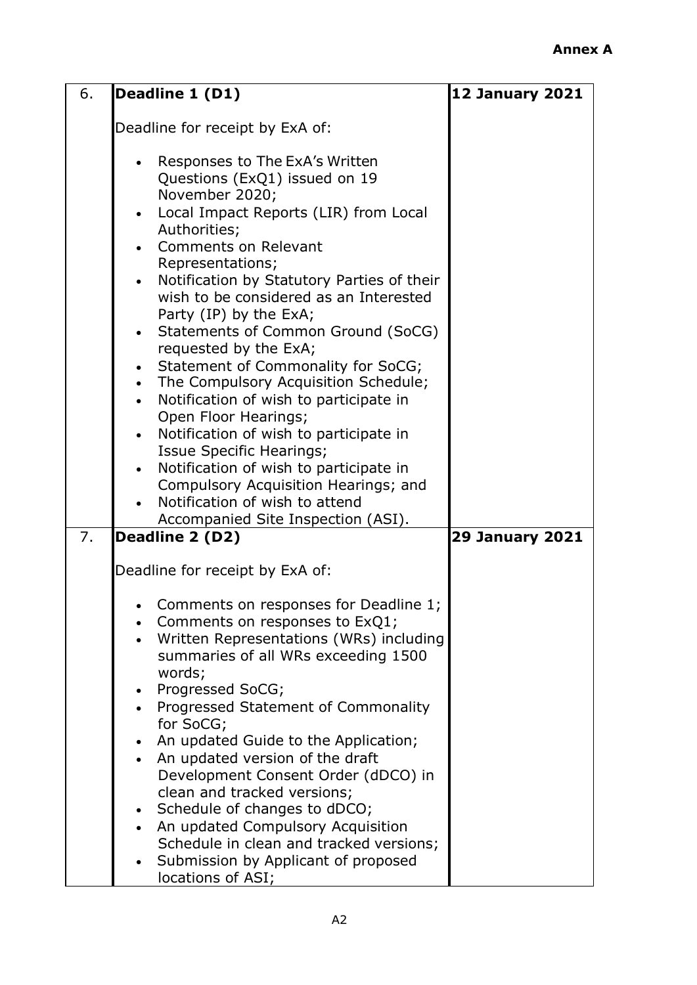| 6. | Deadline 1 (D1)                                                                   | <b>12 January 2021</b> |
|----|-----------------------------------------------------------------------------------|------------------------|
|    | Deadline for receipt by ExA of:                                                   |                        |
|    |                                                                                   |                        |
|    | Responses to The ExA's Written<br>$\bullet$                                       |                        |
|    | Questions (ExQ1) issued on 19                                                     |                        |
|    | November 2020;                                                                    |                        |
|    | Local Impact Reports (LIR) from Local<br>$\bullet$                                |                        |
|    | Authorities;                                                                      |                        |
|    | <b>Comments on Relevant</b><br>Representations;                                   |                        |
|    | Notification by Statutory Parties of their<br>$\bullet$                           |                        |
|    | wish to be considered as an Interested                                            |                        |
|    | Party (IP) by the ExA;                                                            |                        |
|    | Statements of Common Ground (SoCG)<br>$\bullet$                                   |                        |
|    | requested by the ExA;                                                             |                        |
|    | Statement of Commonality for SoCG;                                                |                        |
|    | The Compulsory Acquisition Schedule;<br>$\bullet$                                 |                        |
|    | Notification of wish to participate in<br>Open Floor Hearings;                    |                        |
|    | Notification of wish to participate in<br>$\bullet$                               |                        |
|    | Issue Specific Hearings;                                                          |                        |
|    | Notification of wish to participate in<br>$\bullet$                               |                        |
|    | Compulsory Acquisition Hearings; and                                              |                        |
|    | Notification of wish to attend                                                    |                        |
|    | Accompanied Site Inspection (ASI).                                                |                        |
| 7. | Deadline 2 (D2)                                                                   | <b>29 January 2021</b> |
|    | Deadline for receipt by ExA of:                                                   |                        |
|    |                                                                                   |                        |
|    | Comments on responses for Deadline 1;                                             |                        |
|    | Comments on responses to ExQ1;                                                    |                        |
|    | Written Representations (WRs) including<br>$\bullet$                              |                        |
|    | summaries of all WRs exceeding 1500                                               |                        |
|    | words;                                                                            |                        |
|    | Progressed SoCG;<br>$\bullet$<br>Progressed Statement of Commonality<br>$\bullet$ |                        |
|    | for SoCG;                                                                         |                        |
|    | An updated Guide to the Application;                                              |                        |
|    | An updated version of the draft                                                   |                        |
|    | Development Consent Order (dDCO) in                                               |                        |
|    | clean and tracked versions;                                                       |                        |
|    | Schedule of changes to dDCO;                                                      |                        |
|    | An updated Compulsory Acquisition                                                 |                        |
|    | Schedule in clean and tracked versions;<br>Submission by Applicant of proposed    |                        |
|    | locations of ASI;                                                                 |                        |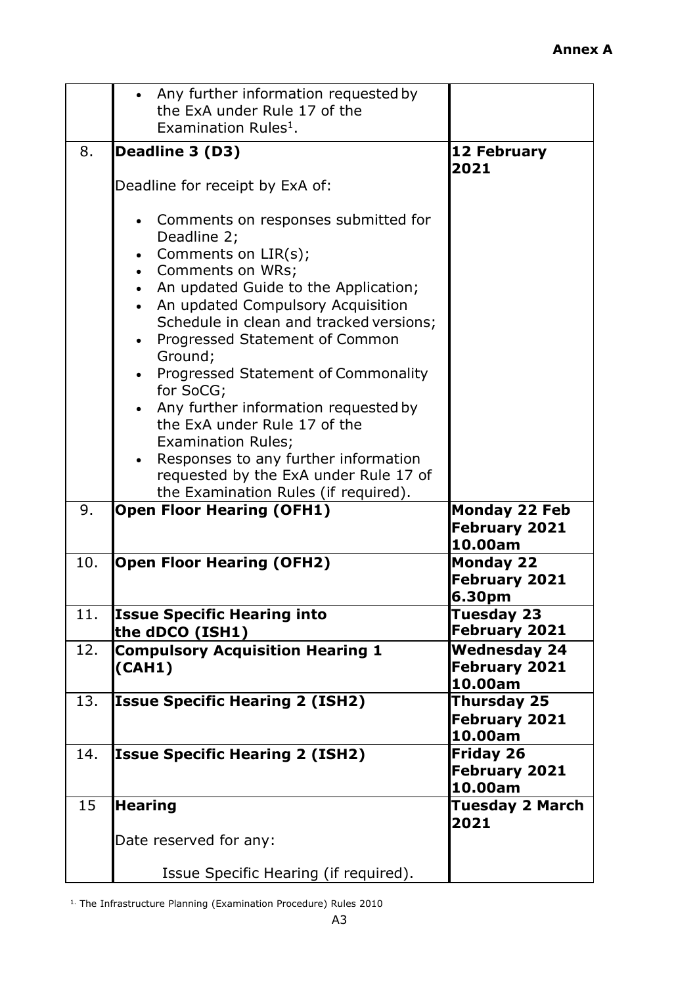|     | Any further information requested by<br>$\bullet$                                      |                                 |
|-----|----------------------------------------------------------------------------------------|---------------------------------|
|     | the ExA under Rule 17 of the<br>Examination Rules <sup>1</sup> .                       |                                 |
|     |                                                                                        |                                 |
| 8.  | Deadline 3 (D3)                                                                        | 12 February<br>2021             |
|     | Deadline for receipt by ExA of:                                                        |                                 |
|     | Comments on responses submitted for<br>Deadline 2;<br>Comments on LIR(s);<br>$\bullet$ |                                 |
|     | • Comments on WRs;                                                                     |                                 |
|     | • An updated Guide to the Application;                                                 |                                 |
|     | • An updated Compulsory Acquisition                                                    |                                 |
|     | Schedule in clean and tracked versions;                                                |                                 |
|     | • Progressed Statement of Common<br>Ground;                                            |                                 |
|     | Progressed Statement of Commonality                                                    |                                 |
|     | for SoCG;                                                                              |                                 |
|     | • Any further information requested by                                                 |                                 |
|     | the ExA under Rule 17 of the                                                           |                                 |
|     | <b>Examination Rules;</b>                                                              |                                 |
|     | Responses to any further information<br>$\bullet$                                      |                                 |
|     | requested by the ExA under Rule 17 of                                                  |                                 |
| 9.  | the Examination Rules (if required).<br><b>Open Floor Hearing (OFH1)</b>               | <b>Monday 22 Feb</b>            |
|     |                                                                                        | February 2021                   |
|     |                                                                                        | 10.00am                         |
| 10. | <b>Open Floor Hearing (OFH2)</b>                                                       | <b>Monday 22</b>                |
|     |                                                                                        | <b>February 2021</b>            |
|     |                                                                                        | 6.30pm                          |
| 11. | <b>Issue Specific Hearing into</b>                                                     | Tuesday 23<br>February 2021     |
| 12. | the dDCO (ISH1)<br><b>Compulsory Acquisition Hearing 1</b>                             | <b>Wednesday 24</b>             |
|     | (CAH1)                                                                                 | <b>February 2021</b>            |
|     |                                                                                        | 10.00am                         |
| 13. | <b>Issue Specific Hearing 2 (ISH2)</b>                                                 | Thursday 25                     |
|     |                                                                                        | February 2021                   |
|     |                                                                                        | 10.00am                         |
| 14. | <b>Issue Specific Hearing 2 (ISH2)</b>                                                 | <b>Friday 26</b>                |
|     |                                                                                        | <b>February 2021</b><br>10.00am |
| 15  | <b>Hearing</b>                                                                         | <b>Tuesday 2 March</b>          |
|     |                                                                                        | 2021                            |
|     | Date reserved for any:                                                                 |                                 |
|     |                                                                                        |                                 |
|     | Issue Specific Hearing (if required).                                                  |                                 |

1. The Infrastructure Planning (Examination Procedure) Rules 2010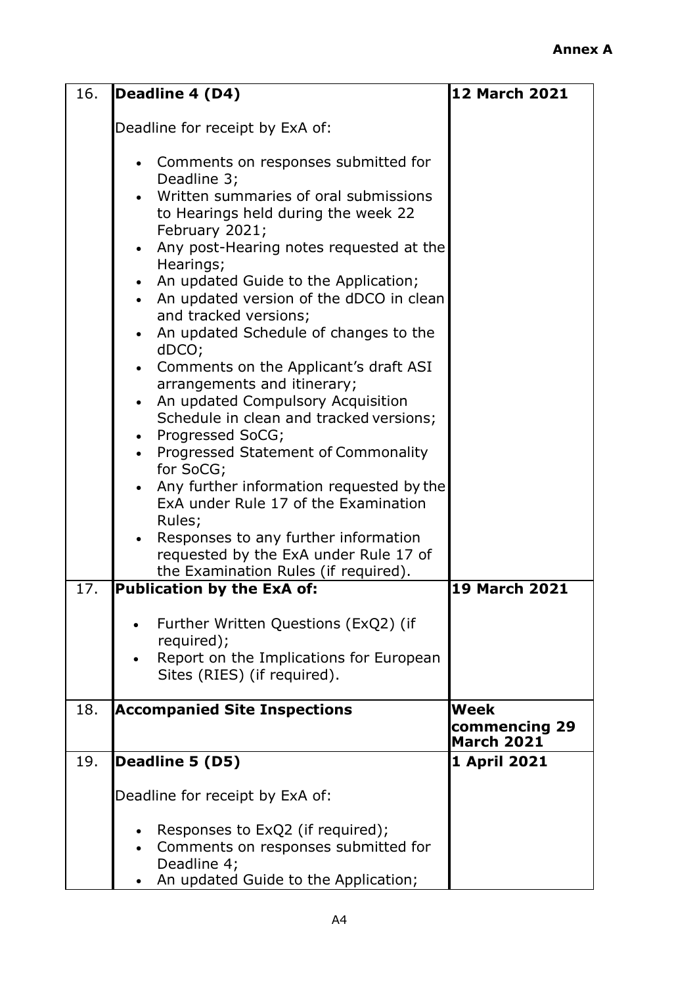| 16. | Deadline 4 (D4)                                                                                                                                                                                                                                                                                                                                                                                                                                                                                                                                                                                                                     | <b>12 March 2021</b>                       |
|-----|-------------------------------------------------------------------------------------------------------------------------------------------------------------------------------------------------------------------------------------------------------------------------------------------------------------------------------------------------------------------------------------------------------------------------------------------------------------------------------------------------------------------------------------------------------------------------------------------------------------------------------------|--------------------------------------------|
|     | Deadline for receipt by ExA of:                                                                                                                                                                                                                                                                                                                                                                                                                                                                                                                                                                                                     |                                            |
|     | • Comments on responses submitted for<br>Deadline 3;<br>Written summaries of oral submissions<br>to Hearings held during the week 22<br>February 2021;<br>Any post-Hearing notes requested at the<br>$\bullet$<br>Hearings;<br>• An updated Guide to the Application;<br>• An updated version of the dDCO in clean<br>and tracked versions;<br>An updated Schedule of changes to the<br>dDCO;<br>• Comments on the Applicant's draft ASI<br>arrangements and itinerary;<br>An updated Compulsory Acquisition<br>$\bullet$<br>Schedule in clean and tracked versions;<br>• Progressed SoCG;<br>• Progressed Statement of Commonality |                                            |
|     | for SoCG;<br>• Any further information requested by the                                                                                                                                                                                                                                                                                                                                                                                                                                                                                                                                                                             |                                            |
|     | ExA under Rule 17 of the Examination<br>Rules;<br>Responses to any further information<br>requested by the ExA under Rule 17 of<br>the Examination Rules (if required).                                                                                                                                                                                                                                                                                                                                                                                                                                                             |                                            |
| 17. | Publication by the ExA of:                                                                                                                                                                                                                                                                                                                                                                                                                                                                                                                                                                                                          | <b>19 March 2021</b>                       |
|     | Further Written Questions (ExQ2) (if<br>required);<br>Report on the Implications for European<br>Sites (RIES) (if required).                                                                                                                                                                                                                                                                                                                                                                                                                                                                                                        |                                            |
| 18. | <b>Accompanied Site Inspections</b>                                                                                                                                                                                                                                                                                                                                                                                                                                                                                                                                                                                                 | Week<br>commencing 29<br><b>March 2021</b> |
| 19. | Deadline 5 (D5)                                                                                                                                                                                                                                                                                                                                                                                                                                                                                                                                                                                                                     | 1 April 2021                               |
|     | Deadline for receipt by ExA of:                                                                                                                                                                                                                                                                                                                                                                                                                                                                                                                                                                                                     |                                            |
|     | Responses to ExQ2 (if required);<br>Comments on responses submitted for<br>Deadline 4;<br>An updated Guide to the Application;                                                                                                                                                                                                                                                                                                                                                                                                                                                                                                      |                                            |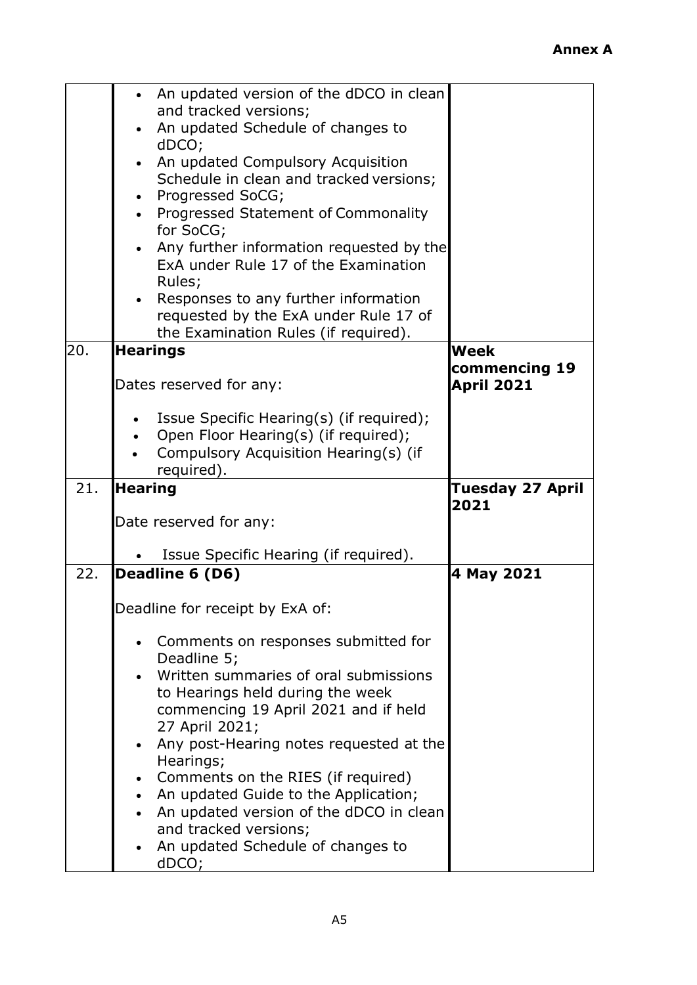|     | An updated version of the dDCO in clean                                       |                                    |
|-----|-------------------------------------------------------------------------------|------------------------------------|
|     | and tracked versions;<br>An updated Schedule of changes to                    |                                    |
|     | dDCO;                                                                         |                                    |
|     | An updated Compulsory Acquisition                                             |                                    |
|     | Schedule in clean and tracked versions;                                       |                                    |
|     | • Progressed SoCG;<br>• Progressed Statement of Commonality                   |                                    |
|     | for SoCG;                                                                     |                                    |
|     | Any further information requested by the                                      |                                    |
|     | ExA under Rule 17 of the Examination                                          |                                    |
|     | Rules;<br>Responses to any further information                                |                                    |
|     | requested by the ExA under Rule 17 of                                         |                                    |
|     | the Examination Rules (if required).                                          |                                    |
| 20. | <b>Hearings</b>                                                               | <b>Week</b>                        |
|     | Dates reserved for any:                                                       | commencing 19<br><b>April 2021</b> |
|     |                                                                               |                                    |
|     | Issue Specific Hearing(s) (if required);                                      |                                    |
|     | Open Floor Hearing(s) (if required);<br>Compulsory Acquisition Hearing(s) (if |                                    |
|     | required).                                                                    |                                    |
|     |                                                                               |                                    |
| 21. | <b>Hearing</b>                                                                | Tuesday 27 April<br>2021           |
|     | Date reserved for any:                                                        |                                    |
|     | Issue Specific Hearing (if required).                                         |                                    |
| 22. | Deadline 6 (D6)                                                               | 4 May 2021                         |
|     | Deadline for receipt by ExA of:                                               |                                    |
|     | Comments on responses submitted for<br>$\bullet$                              |                                    |
|     | Deadline 5;<br>Written summaries of oral submissions                          |                                    |
|     | to Hearings held during the week                                              |                                    |
|     | commencing 19 April 2021 and if held                                          |                                    |
|     | 27 April 2021;<br>$\bullet$                                                   |                                    |
|     | Any post-Hearing notes requested at the<br>Hearings;                          |                                    |
|     | Comments on the RIES (if required)<br>٠                                       |                                    |
|     | An updated Guide to the Application;<br>$\bullet$                             |                                    |
|     | An updated version of the dDCO in clean<br>and tracked versions;              |                                    |
|     | An updated Schedule of changes to<br>dDCO;                                    |                                    |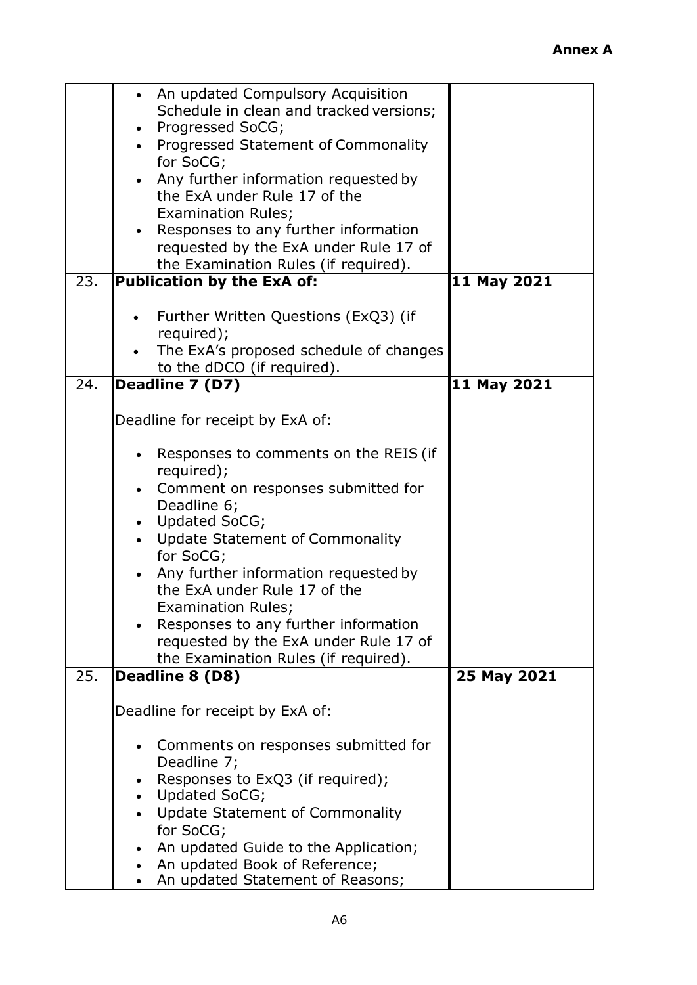|     | • An updated Compulsory Acquisition     |             |
|-----|-----------------------------------------|-------------|
|     |                                         |             |
|     | Schedule in clean and tracked versions; |             |
|     | Progressed SoCG;<br>$\bullet$           |             |
|     | Progressed Statement of Commonality     |             |
|     | for SoCG;                               |             |
|     | Any further information requested by    |             |
|     | the ExA under Rule 17 of the            |             |
|     | <b>Examination Rules;</b>               |             |
|     | Responses to any further information    |             |
|     | requested by the ExA under Rule 17 of   |             |
|     | the Examination Rules (if required).    |             |
| 23. | Publication by the ExA of:              | 11 May 2021 |
|     |                                         |             |
|     |                                         |             |
|     | Further Written Questions (ExQ3) (if    |             |
|     | required);                              |             |
|     | The ExA's proposed schedule of changes  |             |
|     | to the dDCO (if required).              |             |
| 24. | Deadline 7 (D7)                         | 11 May 2021 |
|     |                                         |             |
|     | Deadline for receipt by ExA of:         |             |
|     |                                         |             |
|     | Responses to comments on the REIS (if   |             |
|     | required);                              |             |
|     | Comment on responses submitted for      |             |
|     |                                         |             |
|     | Deadline 6;                             |             |
|     | Updated SoCG;                           |             |
|     | <b>Update Statement of Commonality</b>  |             |
|     | for SoCG;                               |             |
|     | Any further information requested by    |             |
|     | the ExA under Rule 17 of the            |             |
|     | <b>Examination Rules;</b>               |             |
|     | Responses to any further information    |             |
|     | requested by the ExA under Rule 17 of   |             |
|     | the Examination Rules (if required).    |             |
| 25. | Deadline 8 (D8)                         | 25 May 2021 |
|     |                                         |             |
|     | Deadline for receipt by ExA of:         |             |
|     |                                         |             |
|     |                                         |             |
|     | Comments on responses submitted for     |             |
|     | Deadline 7;                             |             |
|     | Responses to ExQ3 (if required);        |             |
|     | Updated SoCG;                           |             |
|     | Update Statement of Commonality         |             |
|     | for SoCG;                               |             |
|     | An updated Guide to the Application;    |             |
|     | An updated Book of Reference;           |             |
|     | An updated Statement of Reasons;        |             |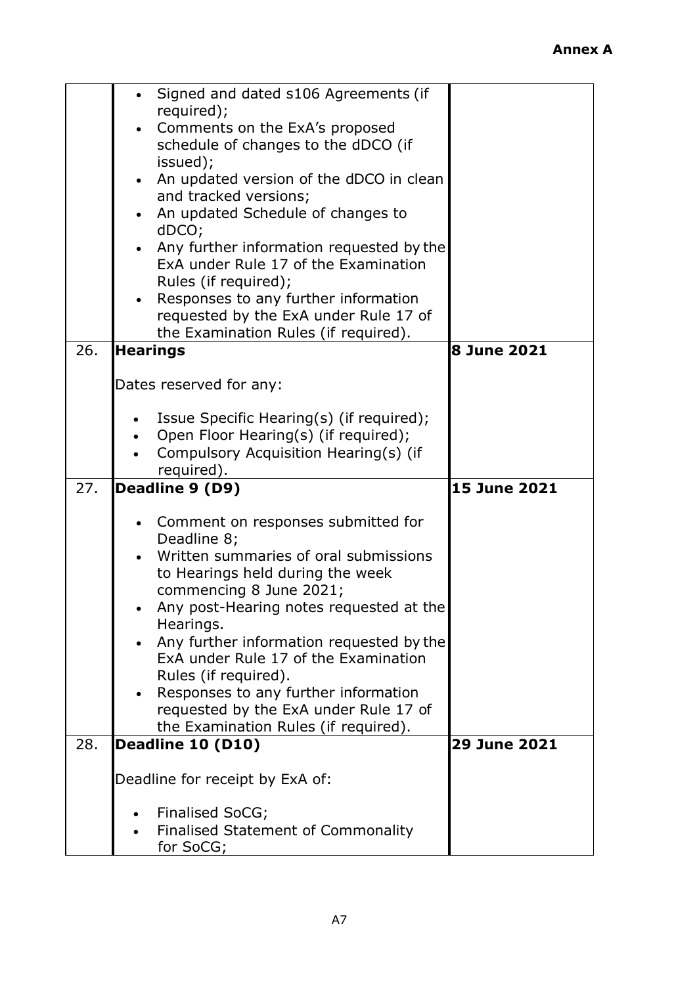|     | Signed and dated s106 Agreements (if                   |                    |
|-----|--------------------------------------------------------|--------------------|
|     | required);                                             |                    |
|     | Comments on the ExA's proposed                         |                    |
|     | schedule of changes to the dDCO (if                    |                    |
|     | issued);                                               |                    |
|     |                                                        |                    |
|     | An updated version of the dDCO in clean<br>$\bullet$   |                    |
|     | and tracked versions;                                  |                    |
|     | An updated Schedule of changes to                      |                    |
|     | dDCO;                                                  |                    |
|     | Any further information requested by the               |                    |
|     | ExA under Rule 17 of the Examination                   |                    |
|     |                                                        |                    |
|     | Rules (if required);                                   |                    |
|     | Responses to any further information<br>$\bullet$      |                    |
|     | requested by the ExA under Rule 17 of                  |                    |
|     | the Examination Rules (if required).                   |                    |
| 26. | <b>Hearings</b>                                        | <b>8 June 2021</b> |
|     |                                                        |                    |
|     | Dates reserved for any:                                |                    |
|     |                                                        |                    |
|     |                                                        |                    |
|     | Issue Specific Hearing(s) (if required);               |                    |
|     | Open Floor Hearing(s) (if required);                   |                    |
|     | Compulsory Acquisition Hearing(s) (if                  |                    |
|     |                                                        |                    |
|     | required).                                             |                    |
| 27. |                                                        |                    |
|     | Deadline 9 (D9)                                        | 15 June 2021       |
|     |                                                        |                    |
|     | Comment on responses submitted for                     |                    |
|     | Deadline 8;                                            |                    |
|     | Written summaries of oral submissions<br>$\bullet$     |                    |
|     | to Hearings held during the week                       |                    |
|     | commencing 8 June 2021;                                |                    |
|     |                                                        |                    |
|     | Any post-Hearing notes requested at the                |                    |
|     | Hearings.                                              |                    |
|     | Any further information requested by the               |                    |
|     | ExA under Rule 17 of the Examination                   |                    |
|     | Rules (if required).                                   |                    |
|     | Responses to any further information<br>$\bullet$      |                    |
|     | requested by the ExA under Rule 17 of                  |                    |
|     | the Examination Rules (if required).                   |                    |
| 28. | Deadline 10 (D10)                                      | 29 June 2021       |
|     |                                                        |                    |
|     |                                                        |                    |
|     | Deadline for receipt by ExA of:                        |                    |
|     |                                                        |                    |
|     | Finalised SoCG;                                        |                    |
|     | <b>Finalised Statement of Commonality</b><br>for SoCG; |                    |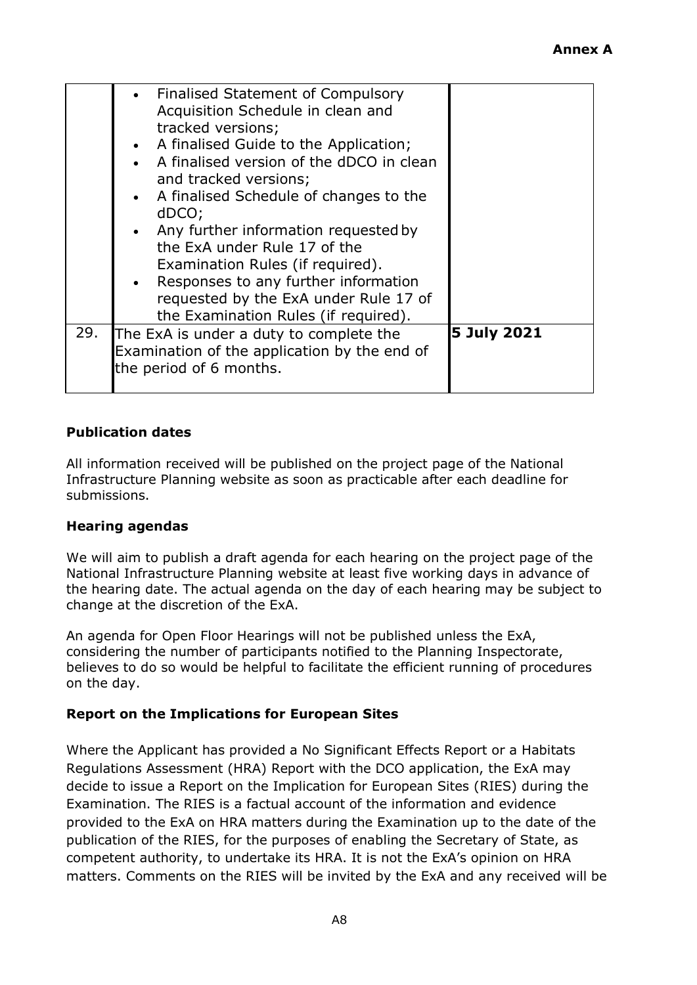|     | • Finalised Statement of Compulsory          |             |
|-----|----------------------------------------------|-------------|
|     | Acquisition Schedule in clean and            |             |
|     | tracked versions;                            |             |
|     | • A finalised Guide to the Application;      |             |
|     | A finalised version of the dDCO in clean     |             |
|     | and tracked versions;                        |             |
|     | A finalised Schedule of changes to the       |             |
|     | dDCO;                                        |             |
|     | Any further information requested by         |             |
|     | the ExA under Rule 17 of the                 |             |
|     | Examination Rules (if required).             |             |
|     | • Responses to any further information       |             |
|     | requested by the ExA under Rule 17 of        |             |
|     | the Examination Rules (if required).         |             |
| 29. | The ExA is under a duty to complete the      | 5 July 2021 |
|     | Examination of the application by the end of |             |
|     | the period of 6 months.                      |             |
|     |                                              |             |

### **Publication dates**

All information received will be published on the project page of the National Infrastructure Planning website as soon as practicable after each deadline for submissions.

#### **Hearing agendas**

We will aim to publish a draft agenda for each hearing on the project page of the National Infrastructure Planning website at least five working days in advance of the hearing date. The actual agenda on the day of each hearing may be subject to change at the discretion of the ExA.

An agenda for Open Floor Hearings will not be published unless the ExA, considering the number of participants notified to the Planning Inspectorate, believes to do so would be helpful to facilitate the efficient running of procedures on the day.

#### **Report on the Implications for European Sites**

Where the Applicant has provided a No Significant Effects Report or a Habitats Regulations Assessment (HRA) Report with the DCO application, the ExA may decide to issue a Report on the Implication for European Sites (RIES) during the Examination. The RIES is a factual account of the information and evidence provided to the ExA on HRA matters during the Examination up to the date of the publication of the RIES, for the purposes of enabling the Secretary of State, as competent authority, to undertake its HRA. It is not the ExA's opinion on HRA matters. Comments on the RIES will be invited by the ExA and any received will be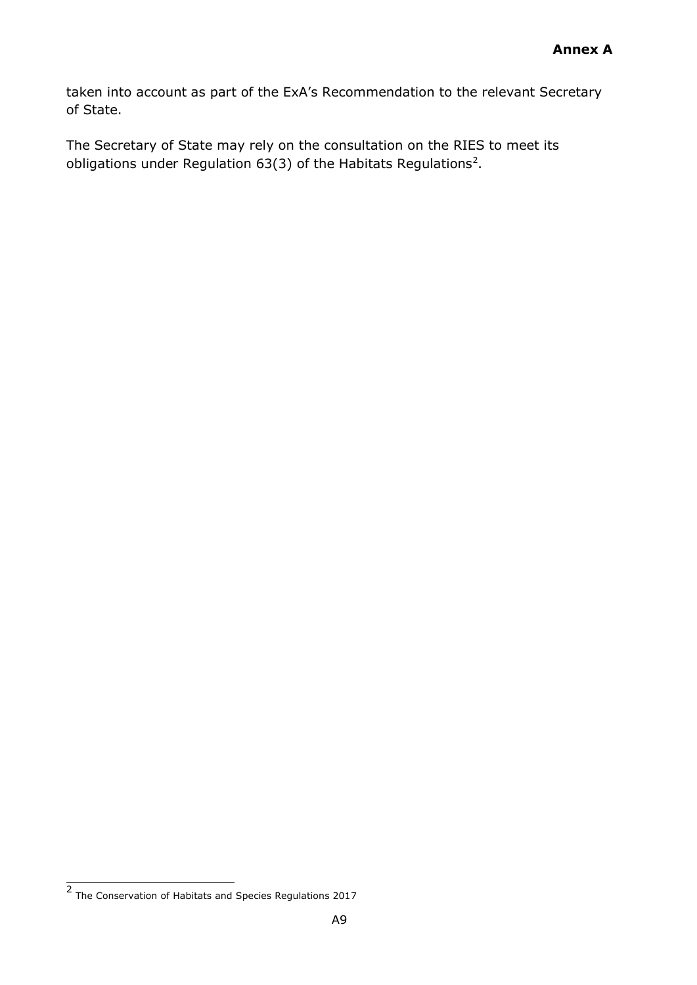taken into account as part of the ExA's Recommendation to the relevant Secretary of State.

The Secretary of State may rely on the consultation on the RIES to meet its obligations under Regulation 63(3) of the Habitats Regulations<sup>2</sup>.

**<sup>2</sup>** The Conservation of Habitats and Species Regulations 2017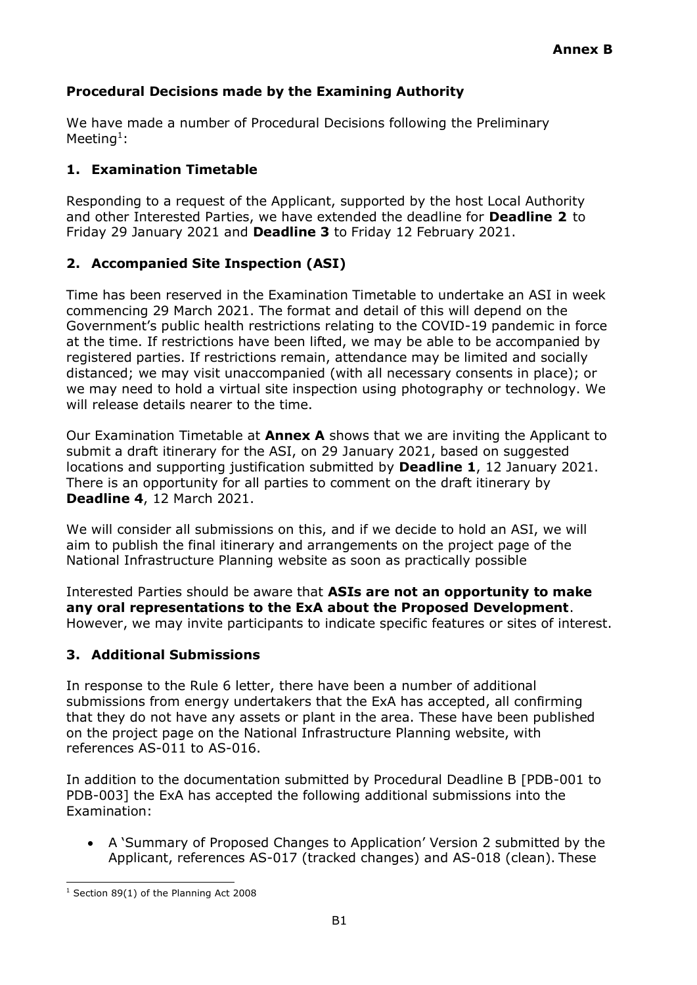# **Procedural Decisions made by the Examining Authority**

We have made a number of Procedural Decisions following the Preliminary Meeting<sup>[1](#page-14-0)</sup>:

#### **1. Examination Timetable**

Responding to a request of the Applicant, supported by the host Local Authority and other Interested Parties, we have extended the deadline for **Deadline 2** to Friday 29 January 2021 and **Deadline 3** to Friday 12 February 2021.

### **2. Accompanied Site Inspection (ASI)**

Time has been reserved in the Examination Timetable to undertake an ASI in week commencing 29 March 2021. The format and detail of this will depend on the Government's public health restrictions relating to the COVID-19 pandemic in force at the time. If restrictions have been lifted, we may be able to be accompanied by registered parties. If restrictions remain, attendance may be limited and socially distanced; we may visit unaccompanied (with all necessary consents in place); or we may need to hold a virtual site inspection using photography or technology. We will release details nearer to the time.

Our Examination Timetable at **Annex A** shows that we are inviting the Applicant to submit a draft itinerary for the ASI, on 29 January 2021, based on suggested locations and supporting justification submitted by **Deadline 1**, 12 January 2021. There is an opportunity for all parties to comment on the draft itinerary by **Deadline 4**, 12 March 2021.

We will consider all submissions on this, and if we decide to hold an ASI, we will aim to publish the final itinerary and arrangements on the project page of the National Infrastructure Planning website as soon as practically possible

Interested Parties should be aware that **ASIs are not an opportunity to make any oral representations to the ExA about the Proposed Development**. However, we may invite participants to indicate specific features or sites of interest.

# **3. Additional Submissions**

In response to the Rule 6 letter, there have been a number of additional submissions from energy undertakers that the ExA has accepted, all confirming that they do not have any assets or plant in the area. These have been published on the project page on the National Infrastructure Planning website, with references AS-011 to AS-016.

In addition to the documentation submitted by Procedural Deadline B [PDB-001 to PDB-003] the ExA has accepted the following additional submissions into the Examination:

• A 'Summary of Proposed Changes to Application' Version 2 submitted by the Applicant, references AS-017 (tracked changes) and AS-018 (clean). These

<span id="page-14-0"></span><sup>&</sup>lt;sup>1</sup> Section 89(1) of the Planning Act 2008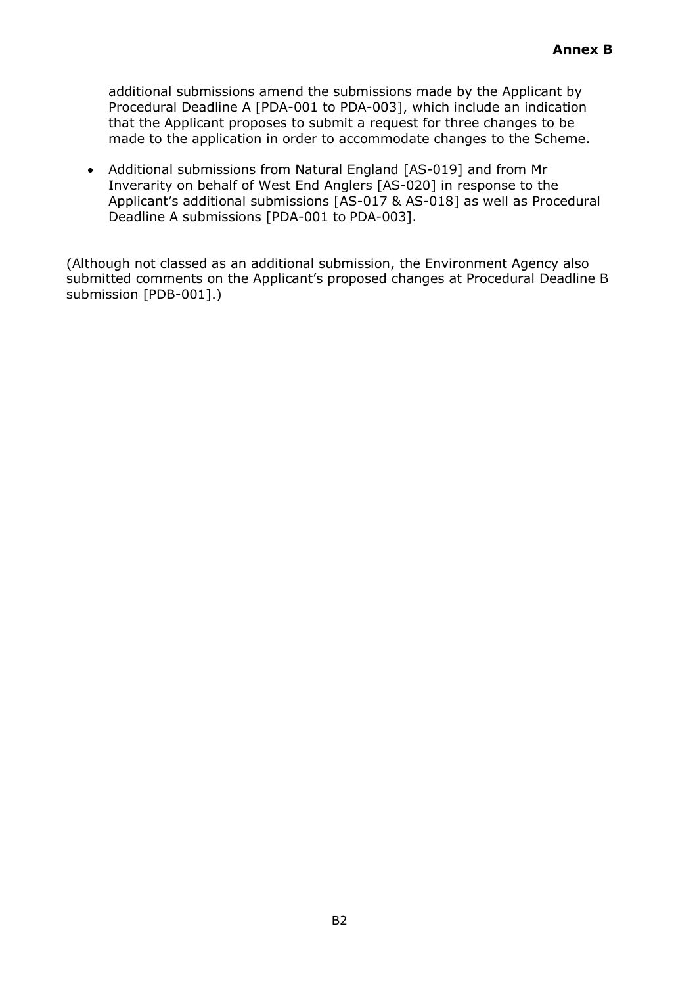additional submissions amend the submissions made by the Applicant by Procedural Deadline A [PDA-001 to PDA-003], which include an indication that the Applicant proposes to submit a request for three changes to be made to the application in order to accommodate changes to the Scheme.

• Additional submissions from Natural England [AS-019] and from Mr Inverarity on behalf of West End Anglers [AS-020] in response to the Applicant's additional submissions [AS-017 & AS-018] as well as Procedural Deadline A submissions [PDA-001 to PDA-003].

(Although not classed as an additional submission, the Environment Agency also submitted comments on the Applicant's proposed changes at Procedural Deadline B submission [PDB-001].)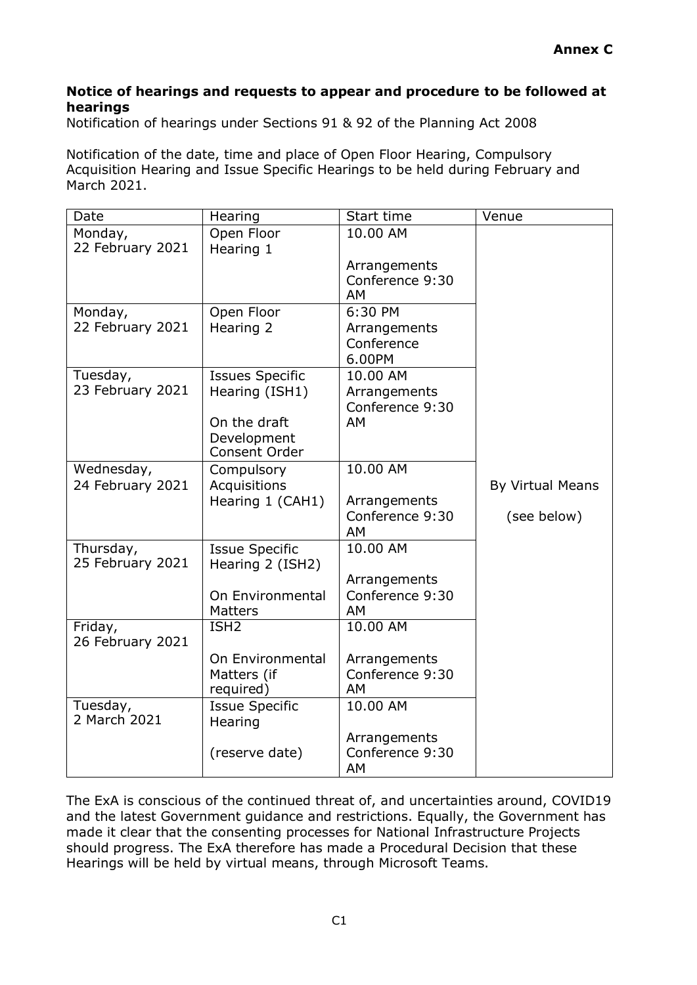#### **Notice of hearings and requests to appear and procedure to be followed at hearings**

Notification of hearings under Sections 91 & 92 of the Planning Act 2008

Notification of the date, time and place of Open Floor Hearing, Compulsory Acquisition Hearing and Issue Specific Hearings to be held during February and March 2021.

| Date                          | Hearing                                   | Start time                      | Venue            |
|-------------------------------|-------------------------------------------|---------------------------------|------------------|
| Monday,                       | Open Floor                                | 10.00 AM                        |                  |
| 22 February 2021              | Hearing 1                                 |                                 |                  |
|                               |                                           | Arrangements<br>Conference 9:30 |                  |
|                               |                                           | AM                              |                  |
| Monday,                       | Open Floor                                | 6:30 PM                         |                  |
| 22 February 2021              | Hearing 2                                 | Arrangements                    |                  |
|                               |                                           | Conference<br>6.00PM            |                  |
| Tuesday,                      | <b>Issues Specific</b>                    | 10.00 AM                        |                  |
| 23 February 2021              | Hearing (ISH1)                            | Arrangements                    |                  |
|                               |                                           | Conference 9:30                 |                  |
|                               | On the draft                              | AM                              |                  |
|                               | Development<br>Consent Order              |                                 |                  |
| Wednesday,                    | Compulsory                                | 10.00 AM                        |                  |
| 24 February 2021              | Acquisitions                              |                                 | By Virtual Means |
|                               | Hearing 1 (CAH1)                          | Arrangements                    |                  |
|                               |                                           | Conference 9:30<br>AM           | (see below)      |
| Thursday,<br>25 February 2021 | <b>Issue Specific</b><br>Hearing 2 (ISH2) | 10.00 AM                        |                  |
|                               |                                           | Arrangements                    |                  |
|                               | On Environmental                          | Conference 9:30                 |                  |
|                               | <b>Matters</b>                            | AM                              |                  |
| Friday,<br>26 February 2021   | ISH <sub>2</sub>                          | 10.00 AM                        |                  |
|                               | On Environmental                          | Arrangements                    |                  |
|                               | Matters (if                               | Conference 9:30                 |                  |
|                               | required)                                 | AM                              |                  |
| Tuesday,<br>2 March 2021      | <b>Issue Specific</b><br>Hearing          | 10.00 AM                        |                  |
|                               |                                           | Arrangements                    |                  |
|                               | (reserve date)                            | Conference 9:30<br>AM           |                  |
|                               |                                           |                                 |                  |

The ExA is conscious of the continued threat of, and uncertainties around, COVID19 and the latest Government guidance and restrictions. Equally, the Government has made it clear that the consenting processes for National Infrastructure Projects should progress. The ExA therefore has made a Procedural Decision that these Hearings will be held by virtual means, through Microsoft Teams.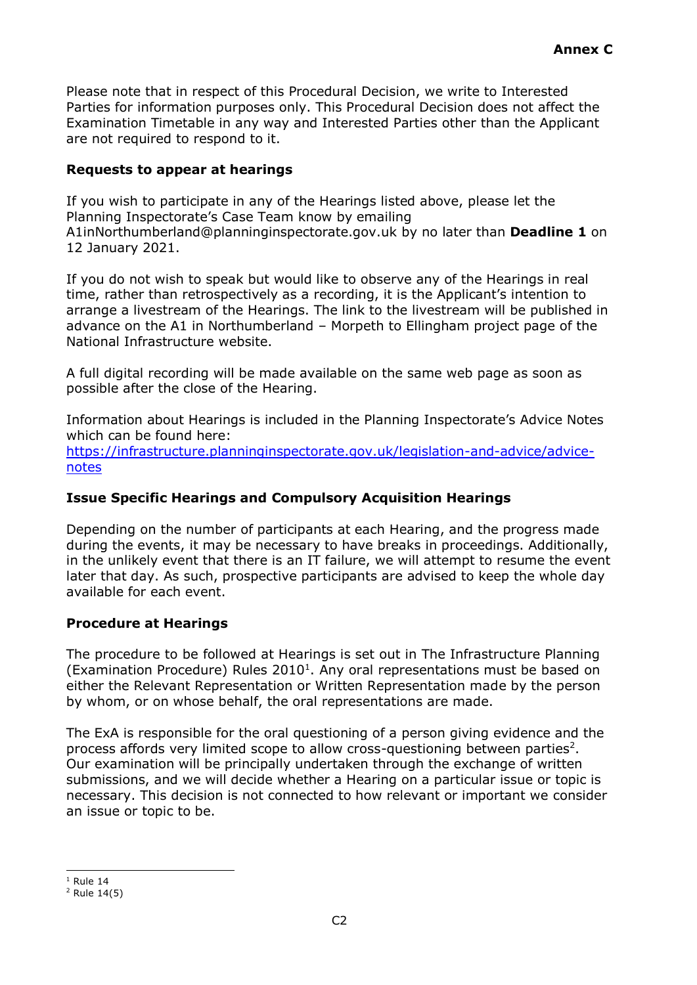Please note that in respect of this Procedural Decision, we write to Interested Parties for information purposes only. This Procedural Decision does not affect the Examination Timetable in any way and Interested Parties other than the Applicant are not required to respond to it.

### **Requests to appear at hearings**

If you wish to participate in any of the Hearings liste[d above, please let the](mailto:A1inNorthumberland@planninginspectorate.gov.uk)  Planning Inspectorate's Case Team know by emailing [A1inNorthumberland@planninginspectorate.gov.uk b](mailto:A1inNorthumberland@planninginspectorate.gov.uk)y no later than **Deadline 1** on 12 January 2021.

If you do not wish to speak but would like to observe any of the Hearings in real time, rather than retrospectively as a recording, it is the Applicant's intention to arrange a livestream of the Hearings. The link to the livestream will be published in advance on the A1 in Northumberland – Morpeth to Ellingham project page of the National Infrastructure website.

A full digital recording will be made available on the same web page as soon as possible after the close of the Hearing.

Information about Hearings is included in the Planning Inspectorate's Advice Notes which can be found here: [https://infrastructure.planninginspectorate.gov.uk/legislation-and-advice/advice](https://infrastructure.planninginspectorate.gov.uk/legislation-and-advice/advice-notes)[notes](https://infrastructure.planninginspectorate.gov.uk/legislation-and-advice/advice-notes)

# **Issue Specific Hearings and Compulsory Acquisition Hearings**

Depending on the number of participants at each Hearing, and the progress made during the events, it may be necessary to have breaks in proceedings. Additionally, in the unlikely event that there is an IT failure, we will attempt to resume the event later that day. As such, prospective participants are advised to keep the whole day available for each event.

# **Procedure at Hearings**

The procedure to be followed at Hearings is set out in The Infrastructure Planning (Examination Procedure) Rules  $2010<sup>1</sup>$  $2010<sup>1</sup>$  $2010<sup>1</sup>$ . Any oral representations must be based on either the Relevant Representation or Written Representation made by the person by whom, or on whose behalf, the oral representations are made.

The ExA is responsible for the oral questioning of a person giving evidence and the process affords very limited scope to allow cross-questioning between parties<sup>[2](#page-17-1)</sup>. Our examination will be principally undertaken through the exchange of written submissions, and we will decide whether a Hearing on a particular issue or topic is necessary. This decision is not connected to how relevant or important we consider an issue or topic to be.

<span id="page-17-0"></span> $1$  Rule 14

<span id="page-17-1"></span><sup>2</sup> Rule 14(5)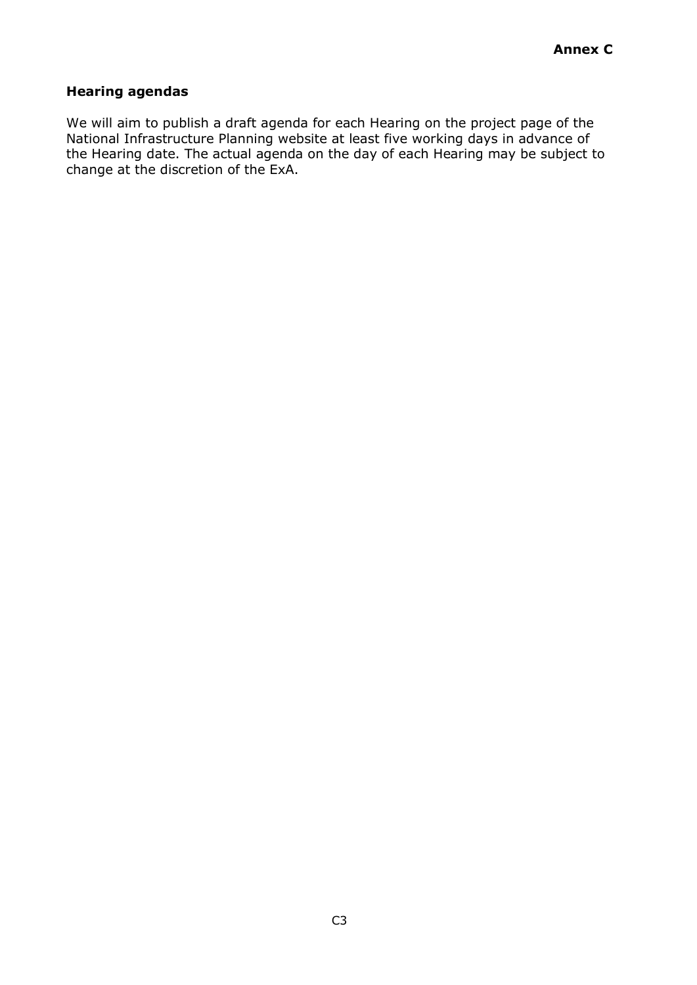# **Hearing agendas**

We will aim to publish a draft agenda for each Hearing on the project page of the National Infrastructure Planning website at least five working days in advance of the Hearing date. The actual agenda on the day of each Hearing may be subject to change at the discretion of the ExA.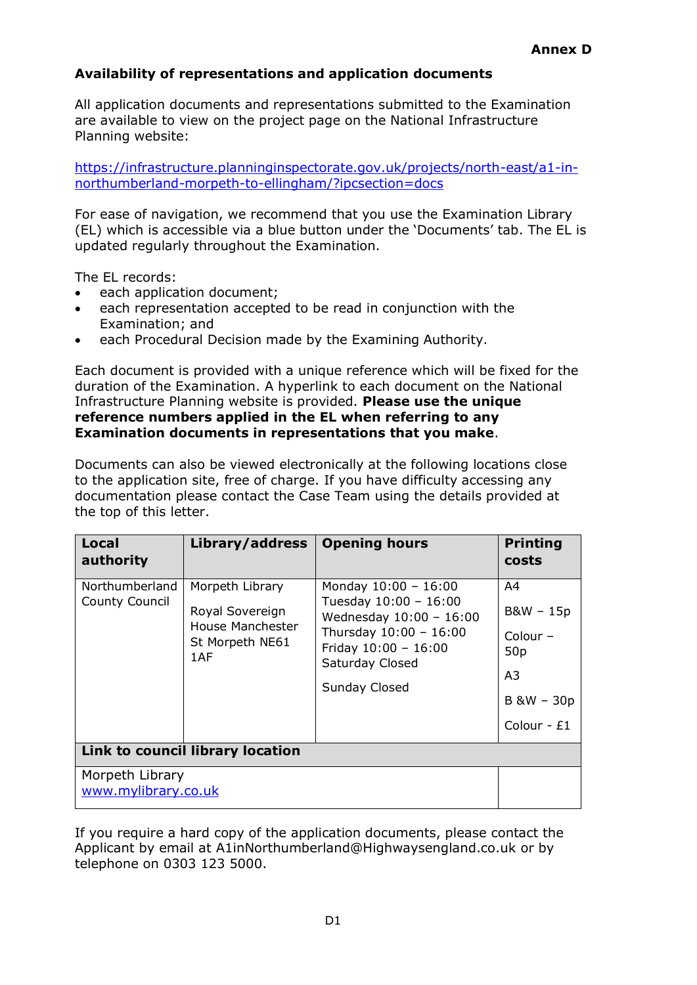# **Availability of representations and application documents**

All application documents and representations submitted to the Examination are available to view on the project page on the National Infrastructure Planning website:

[https://infrastructure.planninginspectorate.gov.uk/projects/north-east/a1-in](https://infrastructure.planninginspectorate.gov.uk/projects/north-east/a1-in-northumberland-morpeth-to-ellingham/?ipcsection=docs)[northumberland-morpeth-to-ellingham/?ipcsection=docs](https://infrastructure.planninginspectorate.gov.uk/projects/north-east/a1-in-northumberland-morpeth-to-ellingham/?ipcsection=docs)

For ease of navigation, we recommend that you use the Examination Library (EL) which is accessible via a blue button under the 'Documents' tab. The EL is updated regularly throughout the Examination.

The EL records:

- each application document;
- each representation accepted to be read in conjunction with the Examination; and
- each Procedural Decision made by the Examining Authority.

Each document is provided with a unique reference which will be fixed for the duration of the Examination. A hyperlink to each document on the National Infrastructure Planning website is provided. **Please use the unique reference numbers applied in the EL when referring to any Examination documents in representations that you make**.

Documents can also be viewed electronically at the following locations close to the application site, free of charge. If you have difficulty accessing any documentation please contact the Case Team using the details provided at the top of this letter.

| <b>Local</b><br>authority              | Library/address                                                                  | <b>Opening hours</b>                                                                                                                                                   | <b>Printing</b><br>costs                                                    |  |  |
|----------------------------------------|----------------------------------------------------------------------------------|------------------------------------------------------------------------------------------------------------------------------------------------------------------------|-----------------------------------------------------------------------------|--|--|
| Northumberland<br>County Council       | Morpeth Library<br>Royal Sovereign<br>House Manchester<br>St Morpeth NE61<br>1AF | Monday $10:00 - 16:00$<br>Tuesday $10:00 - 16:00$<br>Wednesday $10:00 - 16:00$<br>Thursday 10:00 - 16:00<br>Friday $10:00 - 16:00$<br>Saturday Closed<br>Sunday Closed | A4<br>B&W - 15p<br>$Colour -$<br>50p<br>A3<br>$B$ &W $-$ 30p<br>Colour - £1 |  |  |
| Link to council library location       |                                                                                  |                                                                                                                                                                        |                                                                             |  |  |
| Morpeth Library<br>www.mylibrary.co.uk |                                                                                  |                                                                                                                                                                        |                                                                             |  |  |

If you require a hard copy of the application documents, please contact the Applicant by email at [A1inNorthumberland@Highwaysengland.co.uk o](mailto:A1inNorthumberland@Highwaysengland.co.uk)r by telephone on 0303 123 5000.